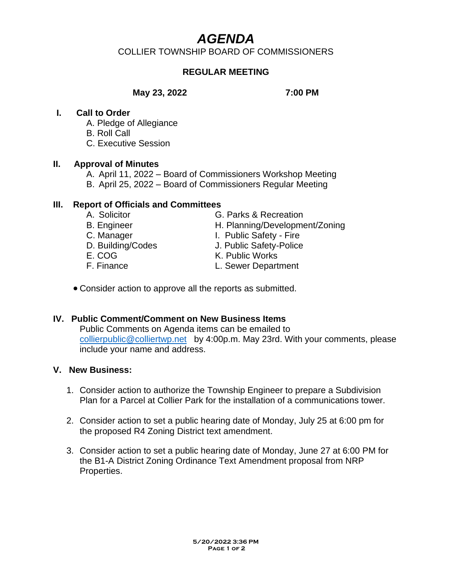# *AGENDA*

COLLIER TOWNSHIP BOARD OF COMMISSIONERS

# **REGULAR MEETING**

#### **May 23, 2022 7:00 PM**

#### **I. Call to Order**

- A. Pledge of Allegiance
- B. Roll Call
- C. Executive Session

#### **II. Approval of Minutes**

- A. April 11, 2022 Board of Commissioners Workshop Meeting
- B. April 25, 2022 Board of Commissioners Regular Meeting

# **III. Report of Officials and Committees**

- 
- 
- 
- 
- 
- 
- A. Solicitor **G. Parks & Recreation**
- B. Engineer H. Planning/Development/Zoning
- C. Manager **I. Public Safety Fire**
- D. Building/Codes J. Public Safety-Police
- E. COG K. Public Works
- F. Finance L. Sewer Department
- Consider action to approve all the reports as submitted.

# **IV. Public Comment/Comment on New Business Items**

Public Comments on Agenda items can be emailed to [collierpublic@colliertwp.net](mailto:collierpublic@colliertwp.net) by 4:00p.m. May 23rd. With your comments, please include your name and address.

### **V. New Business:**

- 1. Consider action to authorize the Township Engineer to prepare a Subdivision Plan for a Parcel at Collier Park for the installation of a communications tower.
- 2. Consider action to set a public hearing date of Monday, July 25 at 6:00 pm for the proposed R4 Zoning District text amendment.
- 3. Consider action to set a public hearing date of Monday, June 27 at 6:00 PM for the B1-A District Zoning Ordinance Text Amendment proposal from NRP Properties.